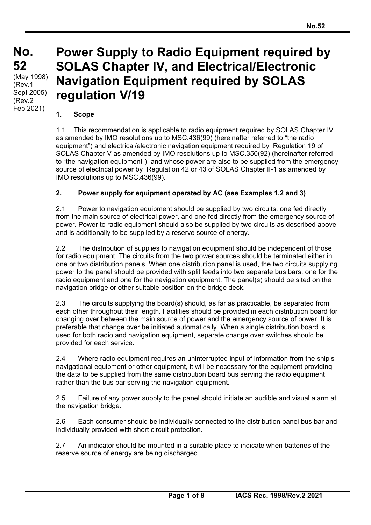# **Power Supply to Radio Equipment required by SOLAS Chapter IV, and Electrical/Electronic Navigation Equipment required by SOLAS regulation V/19**

### **1. Scope**

 $\overline{a}$ 

1.1 This recommendation is applicable to radio equipment required by SOLAS Chapter IV as amended by IMO resolutions up to MSC.436(99) (hereinafter referred to "the radio equipment") and electrical/electronic navigation equipment required by Regulation 19 of SOLAS Chapter V as amended by IMO resolutions up to MSC.350(92) (hereinafter referred to "the navigation equipment"), and whose power are also to be supplied from the emergency source of electrical power by Regulation 42 or 43 of SOLAS Chapter II-1 as amended by IMO resolutions up to MSC.436(99).

## **2. Power supply for equipment operated by AC (see Examples 1,2 and 3)**

2.1 Power to navigation equipment should be supplied by two circuits, one fed directly from the main source of electrical power, and one fed directly from the emergency source of power. Power to radio equipment should also be supplied by two circuits as described above and is additionally to be supplied by a reserve source of energy.

2.2 The distribution of supplies to navigation equipment should be independent of those for radio equipment. The circuits from the two power sources should be terminated either in one or two distribution panels. When one distribution panel is used, the two circuits supplying power to the panel should be provided with split feeds into two separate bus bars, one for the radio equipment and one for the navigation equipment. The panel(s) should be sited on the navigation bridge or other suitable position on the bridge deck.

2.3 The circuits supplying the board(s) should, as far as practicable, be separated from each other throughout their length. Facilities should be provided in each distribution board for changing over between the main source of power and the emergency source of power. It is preferable that change over be initiated automatically. When a single distribution board is used for both radio and navigation equipment, separate change over switches should be provided for each service.

2.4 Where radio equipment requires an uninterrupted input of information from the ship's navigational equipment or other equipment, it will be necessary for the equipment providing the data to be supplied from the same distribution board bus serving the radio equipment rather than the bus bar serving the navigation equipment.

2.5 Failure of any power supply to the panel should initiate an audible and visual alarm at the navigation bridge.

2.6 Each consumer should be individually connected to the distribution panel bus bar and individually provided with short circuit protection.

2.7 An indicator should be mounted in a suitable place to indicate when batteries of the reserve source of energy are being discharged.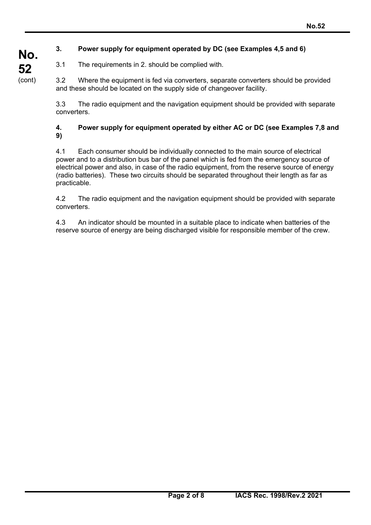# **3. Power supply for equipment operated by DC (see Examples 4,5 and 6)**

3.1 The requirements in 2. should be complied with.

3.2 Where the equipment is fed via converters, separate converters should be provided and these should be located on the supply side of changeover facility.

3.3 The radio equipment and the navigation equipment should be provided with separate converters.

### **4. Power supply for equipment operated by either AC or DC (see Examples 7,8 and 9)**

4.1 Each consumer should be individually connected to the main source of electrical power and to a distribution bus bar of the panel which is fed from the emergency source of electrical power and also, in case of the radio equipment, from the reserve source of energy (radio batteries). These two circuits should be separated throughout their length as far as practicable.

4.2 The radio equipment and the navigation equipment should be provided with separate converters.

4.3 An indicator should be mounted in a suitable place to indicate when batteries of the reserve source of energy are being discharged visible for responsible member of the crew.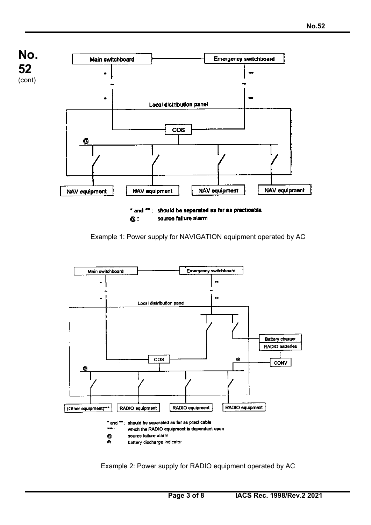

Example 1: Power supply for NAVIGATION equipment operated by AC



Example 2: Power supply for RADIO equipment operated by AC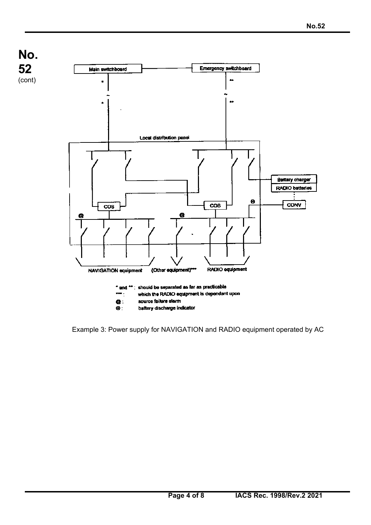**No. 52**  (cont)

 $\overline{a}$ 



Example 3: Power supply for NAVIGATION and RADIO equipment operated by AC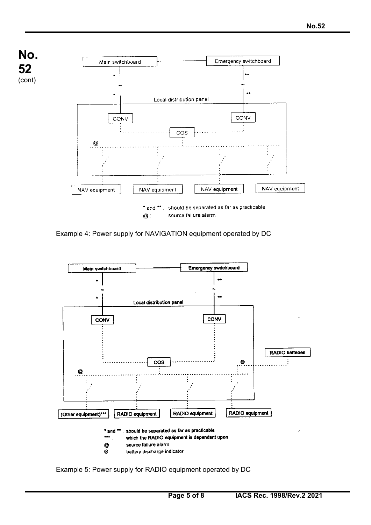

Example 4: Power supply for NAVIGATION equipment operated by DC



Example 5: Power supply for RADIO equipment operated by DC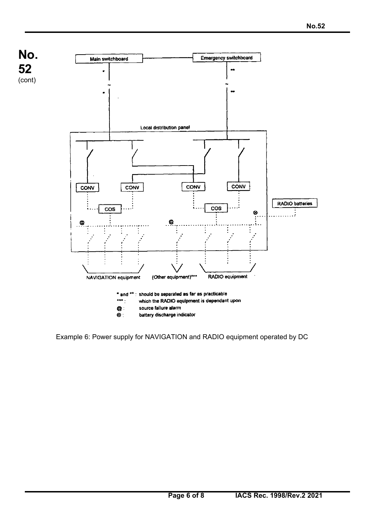

Example 6: Power supply for NAVIGATION and RADIO equipment operated by DC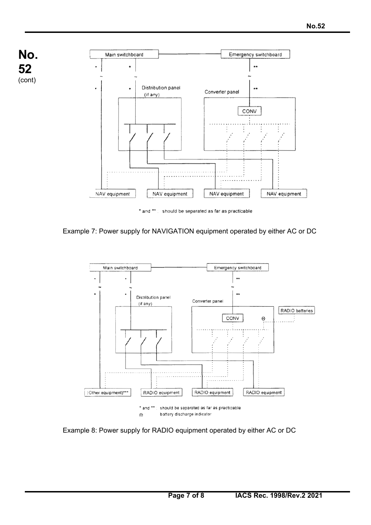

Example 7: Power supply for NAVIGATION equipment operated by either AC or DC



Example 8: Power supply for RADIO equipment operated by either AC or DC